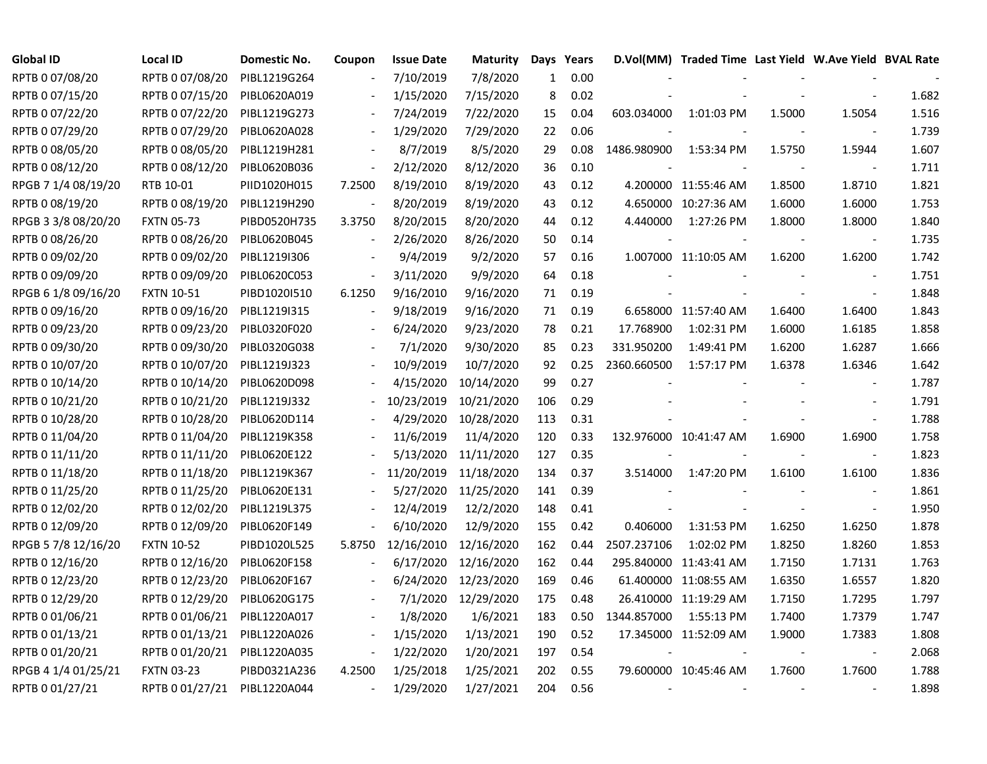| <b>Global ID</b>    | Local ID          | Domestic No. | Coupon                   | <b>Issue Date</b> | <b>Maturity</b>     |              | Days Years |             | D.Vol(MM) Traded Time Last Yield W.Ave Yield BVAL Rate |        |                          |       |
|---------------------|-------------------|--------------|--------------------------|-------------------|---------------------|--------------|------------|-------------|--------------------------------------------------------|--------|--------------------------|-------|
| RPTB 0 07/08/20     | RPTB 0 07/08/20   | PIBL1219G264 |                          | 7/10/2019         | 7/8/2020            | $\mathbf{1}$ | 0.00       |             |                                                        |        |                          |       |
| RPTB 0 07/15/20     | RPTB 0 07/15/20   | PIBL0620A019 |                          | 1/15/2020         | 7/15/2020           | 8            | 0.02       |             |                                                        |        |                          | 1.682 |
| RPTB 0 07/22/20     | RPTB 0 07/22/20   | PIBL1219G273 |                          | 7/24/2019         | 7/22/2020           | 15           | 0.04       | 603.034000  | 1:01:03 PM                                             | 1.5000 | 1.5054                   | 1.516 |
| RPTB 0 07/29/20     | RPTB 0 07/29/20   | PIBL0620A028 |                          | 1/29/2020         | 7/29/2020           | 22           | 0.06       |             |                                                        |        |                          | 1.739 |
| RPTB 0 08/05/20     | RPTB 0 08/05/20   | PIBL1219H281 | $\blacksquare$           | 8/7/2019          | 8/5/2020            | 29           | 0.08       | 1486.980900 | 1:53:34 PM                                             | 1.5750 | 1.5944                   | 1.607 |
| RPTB 0 08/12/20     | RPTB 0 08/12/20   | PIBL0620B036 | $\overline{\phantom{a}}$ | 2/12/2020         | 8/12/2020           | 36           | 0.10       |             |                                                        |        | $\overline{\phantom{a}}$ | 1.711 |
| RPGB 7 1/4 08/19/20 | RTB 10-01         | PIID1020H015 | 7.2500                   | 8/19/2010         | 8/19/2020           | 43           | 0.12       |             | 4.200000 11:55:46 AM                                   | 1.8500 | 1.8710                   | 1.821 |
| RPTB 0 08/19/20     | RPTB 0 08/19/20   | PIBL1219H290 |                          | 8/20/2019         | 8/19/2020           | 43           | 0.12       |             | 4.650000 10:27:36 AM                                   | 1.6000 | 1.6000                   | 1.753 |
| RPGB 3 3/8 08/20/20 | <b>FXTN 05-73</b> | PIBD0520H735 | 3.3750                   | 8/20/2015         | 8/20/2020           | 44           | 0.12       | 4.440000    | 1:27:26 PM                                             | 1.8000 | 1.8000                   | 1.840 |
| RPTB 0 08/26/20     | RPTB 0 08/26/20   | PIBL0620B045 | $\blacksquare$           | 2/26/2020         | 8/26/2020           | 50           | 0.14       |             |                                                        |        | $\overline{\phantom{a}}$ | 1.735 |
| RPTB 0 09/02/20     | RPTB 0 09/02/20   | PIBL1219I306 |                          | 9/4/2019          | 9/2/2020            | 57           | 0.16       |             | 1.007000 11:10:05 AM                                   | 1.6200 | 1.6200                   | 1.742 |
| RPTB 0 09/09/20     | RPTB 0 09/09/20   | PIBL0620C053 | $\overline{\phantom{a}}$ | 3/11/2020         | 9/9/2020            | 64           | 0.18       |             |                                                        |        | $\overline{\phantom{a}}$ | 1.751 |
| RPGB 6 1/8 09/16/20 | <b>FXTN 10-51</b> | PIBD1020I510 | 6.1250                   | 9/16/2010         | 9/16/2020           | 71           | 0.19       |             |                                                        |        | $\blacksquare$           | 1.848 |
| RPTB 0 09/16/20     | RPTB 0 09/16/20   | PIBL1219I315 |                          | 9/18/2019         | 9/16/2020           | 71           | 0.19       |             | 6.658000 11:57:40 AM                                   | 1.6400 | 1.6400                   | 1.843 |
| RPTB 0 09/23/20     | RPTB 0 09/23/20   | PIBL0320F020 |                          | 6/24/2020         | 9/23/2020           | 78           | 0.21       | 17.768900   | 1:02:31 PM                                             | 1.6000 | 1.6185                   | 1.858 |
| RPTB 0 09/30/20     | RPTB 0 09/30/20   | PIBL0320G038 |                          | 7/1/2020          | 9/30/2020           | 85           | 0.23       | 331.950200  | 1:49:41 PM                                             | 1.6200 | 1.6287                   | 1.666 |
| RPTB 0 10/07/20     | RPTB 0 10/07/20   | PIBL1219J323 |                          | 10/9/2019         | 10/7/2020           | 92           | 0.25       | 2360.660500 | 1:57:17 PM                                             | 1.6378 | 1.6346                   | 1.642 |
| RPTB 0 10/14/20     | RPTB 0 10/14/20   | PIBL0620D098 |                          | 4/15/2020         | 10/14/2020          | 99           | 0.27       |             |                                                        |        | $\overline{\phantom{a}}$ | 1.787 |
| RPTB 0 10/21/20     | RPTB 0 10/21/20   | PIBL1219J332 |                          | 10/23/2019        | 10/21/2020          | 106          | 0.29       |             |                                                        |        |                          | 1.791 |
| RPTB 0 10/28/20     | RPTB 0 10/28/20   | PIBL0620D114 |                          | 4/29/2020         | 10/28/2020          | 113          | 0.31       |             |                                                        |        | $\overline{\phantom{a}}$ | 1.788 |
| RPTB 0 11/04/20     | RPTB 0 11/04/20   | PIBL1219K358 |                          | 11/6/2019         | 11/4/2020           | 120          | 0.33       |             | 132.976000 10:41:47 AM                                 | 1.6900 | 1.6900                   | 1.758 |
| RPTB 0 11/11/20     | RPTB 0 11/11/20   | PIBL0620E122 |                          | 5/13/2020         | 11/11/2020          | 127          | 0.35       |             |                                                        |        | $\overline{\phantom{a}}$ | 1.823 |
| RPTB 0 11/18/20     | RPTB 0 11/18/20   | PIBL1219K367 |                          | 11/20/2019        | 11/18/2020          | 134          | 0.37       | 3.514000    | 1:47:20 PM                                             | 1.6100 | 1.6100                   | 1.836 |
| RPTB 0 11/25/20     | RPTB 0 11/25/20   | PIBL0620E131 |                          | 5/27/2020         | 11/25/2020          | 141          | 0.39       |             |                                                        |        | $\blacksquare$           | 1.861 |
| RPTB 0 12/02/20     | RPTB 0 12/02/20   | PIBL1219L375 |                          | 12/4/2019         | 12/2/2020           | 148          | 0.41       |             |                                                        |        | $\blacksquare$           | 1.950 |
| RPTB 0 12/09/20     | RPTB 0 12/09/20   | PIBL0620F149 |                          | 6/10/2020         | 12/9/2020           | 155          | 0.42       | 0.406000    | 1:31:53 PM                                             | 1.6250 | 1.6250                   | 1.878 |
| RPGB 5 7/8 12/16/20 | <b>FXTN 10-52</b> | PIBD1020L525 | 5.8750                   | 12/16/2010        | 12/16/2020          | 162          | 0.44       | 2507.237106 | 1:02:02 PM                                             | 1.8250 | 1.8260                   | 1.853 |
| RPTB 0 12/16/20     | RPTB 0 12/16/20   | PIBL0620F158 |                          | 6/17/2020         | 12/16/2020          | 162          | 0.44       |             | 295.840000 11:43:41 AM                                 | 1.7150 | 1.7131                   | 1.763 |
| RPTB 0 12/23/20     | RPTB 0 12/23/20   | PIBL0620F167 |                          | 6/24/2020         | 12/23/2020          | 169          | 0.46       |             | 61.400000 11:08:55 AM                                  | 1.6350 | 1.6557                   | 1.820 |
| RPTB 0 12/29/20     | RPTB 0 12/29/20   | PIBL0620G175 |                          |                   | 7/1/2020 12/29/2020 | 175          | 0.48       |             | 26.410000 11:19:29 AM                                  | 1.7150 | 1.7295                   | 1.797 |
| RPTB 0 01/06/21     | RPTB 0 01/06/21   | PIBL1220A017 |                          | 1/8/2020          | 1/6/2021            | 183          | 0.50       | 1344.857000 | 1:55:13 PM                                             | 1.7400 | 1.7379                   | 1.747 |
| RPTB 0 01/13/21     | RPTB 0 01/13/21   | PIBL1220A026 | $\overline{\phantom{a}}$ | 1/15/2020         | 1/13/2021           | 190          | 0.52       |             | 17.345000 11:52:09 AM                                  | 1.9000 | 1.7383                   | 1.808 |
| RPTB 0 01/20/21     | RPTB 0 01/20/21   | PIBL1220A035 | $\blacksquare$           | 1/22/2020         | 1/20/2021           | 197          | 0.54       |             |                                                        |        | $\blacksquare$           | 2.068 |
| RPGB 4 1/4 01/25/21 | <b>FXTN 03-23</b> | PIBD0321A236 | 4.2500                   | 1/25/2018         | 1/25/2021           | 202          | 0.55       |             | 79.600000 10:45:46 AM                                  | 1.7600 | 1.7600                   | 1.788 |
| RPTB 0 01/27/21     | RPTB 0 01/27/21   | PIBL1220A044 |                          | 1/29/2020         | 1/27/2021           | 204          | 0.56       |             |                                                        |        |                          | 1.898 |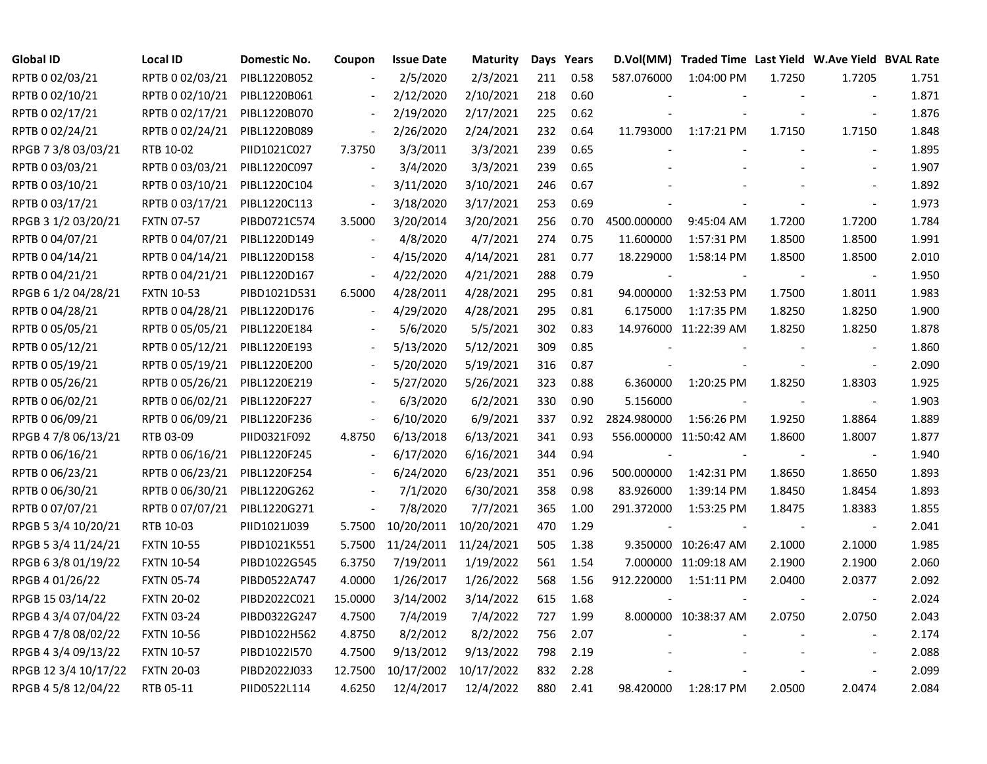| <b>Global ID</b>     | <b>Local ID</b>   | Domestic No. | Coupon                   | <b>Issue Date</b> | <b>Maturity</b> |     | Days Years |                | D.Vol(MM) Traded Time Last Yield W.Ave Yield BVAL Rate |        |                          |       |
|----------------------|-------------------|--------------|--------------------------|-------------------|-----------------|-----|------------|----------------|--------------------------------------------------------|--------|--------------------------|-------|
| RPTB 0 02/03/21      | RPTB 0 02/03/21   | PIBL1220B052 |                          | 2/5/2020          | 2/3/2021        | 211 | 0.58       | 587.076000     | 1:04:00 PM                                             | 1.7250 | 1.7205                   | 1.751 |
| RPTB 0 02/10/21      | RPTB 0 02/10/21   | PIBL1220B061 |                          | 2/12/2020         | 2/10/2021       | 218 | 0.60       |                |                                                        |        |                          | 1.871 |
| RPTB 0 02/17/21      | RPTB 0 02/17/21   | PIBL1220B070 | $\blacksquare$           | 2/19/2020         | 2/17/2021       | 225 | 0.62       |                |                                                        |        | $\overline{\phantom{a}}$ | 1.876 |
| RPTB 0 02/24/21      | RPTB 0 02/24/21   | PIBL1220B089 | $\overline{\phantom{a}}$ | 2/26/2020         | 2/24/2021       | 232 | 0.64       | 11.793000      | 1:17:21 PM                                             | 1.7150 | 1.7150                   | 1.848 |
| RPGB 7 3/8 03/03/21  | RTB 10-02         | PIID1021C027 | 7.3750                   | 3/3/2011          | 3/3/2021        | 239 | 0.65       |                |                                                        |        | $\blacksquare$           | 1.895 |
| RPTB 0 03/03/21      | RPTB 0 03/03/21   | PIBL1220C097 | $\blacksquare$           | 3/4/2020          | 3/3/2021        | 239 | 0.65       |                |                                                        |        |                          | 1.907 |
| RPTB 0 03/10/21      | RPTB 0 03/10/21   | PIBL1220C104 | $\blacksquare$           | 3/11/2020         | 3/10/2021       | 246 | 0.67       |                |                                                        |        |                          | 1.892 |
| RPTB 0 03/17/21      | RPTB 0 03/17/21   | PIBL1220C113 | $\overline{\phantom{a}}$ | 3/18/2020         | 3/17/2021       | 253 | 0.69       |                |                                                        |        |                          | 1.973 |
| RPGB 3 1/2 03/20/21  | <b>FXTN 07-57</b> | PIBD0721C574 | 3.5000                   | 3/20/2014         | 3/20/2021       | 256 | 0.70       | 4500.000000    | 9:45:04 AM                                             | 1.7200 | 1.7200                   | 1.784 |
| RPTB 0 04/07/21      | RPTB 0 04/07/21   | PIBL1220D149 | $\overline{\phantom{a}}$ | 4/8/2020          | 4/7/2021        | 274 | 0.75       | 11.600000      | 1:57:31 PM                                             | 1.8500 | 1.8500                   | 1.991 |
| RPTB 0 04/14/21      | RPTB 0 04/14/21   | PIBL1220D158 | $\blacksquare$           | 4/15/2020         | 4/14/2021       | 281 | 0.77       | 18.229000      | 1:58:14 PM                                             | 1.8500 | 1.8500                   | 2.010 |
| RPTB 0 04/21/21      | RPTB 0 04/21/21   | PIBL1220D167 | $\blacksquare$           | 4/22/2020         | 4/21/2021       | 288 | 0.79       | $\blacksquare$ |                                                        |        | $\sim$                   | 1.950 |
| RPGB 6 1/2 04/28/21  | <b>FXTN 10-53</b> | PIBD1021D531 | 6.5000                   | 4/28/2011         | 4/28/2021       | 295 | 0.81       | 94.000000      | 1:32:53 PM                                             | 1.7500 | 1.8011                   | 1.983 |
| RPTB 0 04/28/21      | RPTB 0 04/28/21   | PIBL1220D176 |                          | 4/29/2020         | 4/28/2021       | 295 | 0.81       | 6.175000       | 1:17:35 PM                                             | 1.8250 | 1.8250                   | 1.900 |
| RPTB 0 05/05/21      | RPTB 0 05/05/21   | PIBL1220E184 |                          | 5/6/2020          | 5/5/2021        | 302 | 0.83       |                | 14.976000 11:22:39 AM                                  | 1.8250 | 1.8250                   | 1.878 |
| RPTB 0 05/12/21      | RPTB 0 05/12/21   | PIBL1220E193 |                          | 5/13/2020         | 5/12/2021       | 309 | 0.85       |                |                                                        |        |                          | 1.860 |
| RPTB 0 05/19/21      | RPTB 0 05/19/21   | PIBL1220E200 | $\overline{\phantom{a}}$ | 5/20/2020         | 5/19/2021       | 316 | 0.87       |                |                                                        |        |                          | 2.090 |
| RPTB 0 05/26/21      | RPTB 0 05/26/21   | PIBL1220E219 | $\blacksquare$           | 5/27/2020         | 5/26/2021       | 323 | 0.88       | 6.360000       | 1:20:25 PM                                             | 1.8250 | 1.8303                   | 1.925 |
| RPTB 0 06/02/21      | RPTB 0 06/02/21   | PIBL1220F227 | $\blacksquare$           | 6/3/2020          | 6/2/2021        | 330 | 0.90       | 5.156000       |                                                        |        | $\blacksquare$           | 1.903 |
| RPTB 0 06/09/21      | RPTB 0 06/09/21   | PIBL1220F236 | $\blacksquare$           | 6/10/2020         | 6/9/2021        | 337 | 0.92       | 2824.980000    | 1:56:26 PM                                             | 1.9250 | 1.8864                   | 1.889 |
| RPGB 4 7/8 06/13/21  | RTB 03-09         | PIID0321F092 | 4.8750                   | 6/13/2018         | 6/13/2021       | 341 | 0.93       |                | 556.000000 11:50:42 AM                                 | 1.8600 | 1.8007                   | 1.877 |
| RPTB 0 06/16/21      | RPTB 0 06/16/21   | PIBL1220F245 | $\blacksquare$           | 6/17/2020         | 6/16/2021       | 344 | 0.94       |                |                                                        |        | $\blacksquare$           | 1.940 |
| RPTB 0 06/23/21      | RPTB 0 06/23/21   | PIBL1220F254 |                          | 6/24/2020         | 6/23/2021       | 351 | 0.96       | 500.000000     | 1:42:31 PM                                             | 1.8650 | 1.8650                   | 1.893 |
| RPTB 0 06/30/21      | RPTB 0 06/30/21   | PIBL1220G262 |                          | 7/1/2020          | 6/30/2021       | 358 | 0.98       | 83.926000      | 1:39:14 PM                                             | 1.8450 | 1.8454                   | 1.893 |
| RPTB 0 07/07/21      | RPTB 0 07/07/21   | PIBL1220G271 | $\blacksquare$           | 7/8/2020          | 7/7/2021        | 365 | 1.00       | 291.372000     | 1:53:25 PM                                             | 1.8475 | 1.8383                   | 1.855 |
| RPGB 5 3/4 10/20/21  | RTB 10-03         | PIID1021J039 | 5.7500                   | 10/20/2011        | 10/20/2021      | 470 | 1.29       | $\overline{a}$ |                                                        |        | $\overline{\phantom{a}}$ | 2.041 |
| RPGB 5 3/4 11/24/21  | <b>FXTN 10-55</b> | PIBD1021K551 | 5.7500                   | 11/24/2011        | 11/24/2021      | 505 | 1.38       |                | 9.350000 10:26:47 AM                                   | 2.1000 | 2.1000                   | 1.985 |
| RPGB 63/8 01/19/22   | <b>FXTN 10-54</b> | PIBD1022G545 | 6.3750                   | 7/19/2011         | 1/19/2022       | 561 | 1.54       |                | 7.000000 11:09:18 AM                                   | 2.1900 | 2.1900                   | 2.060 |
| RPGB 4 01/26/22      | <b>FXTN 05-74</b> | PIBD0522A747 | 4.0000                   | 1/26/2017         | 1/26/2022       | 568 | 1.56       | 912.220000     | 1:51:11 PM                                             | 2.0400 | 2.0377                   | 2.092 |
| RPGB 15 03/14/22     | <b>FXTN 20-02</b> | PIBD2022C021 | 15.0000                  | 3/14/2002         | 3/14/2022       | 615 | 1.68       |                |                                                        |        |                          | 2.024 |
| RPGB 4 3/4 07/04/22  | <b>FXTN 03-24</b> | PIBD0322G247 | 4.7500                   | 7/4/2019          | 7/4/2022        | 727 | 1.99       |                | 8.000000 10:38:37 AM                                   | 2.0750 | 2.0750                   | 2.043 |
| RPGB 4 7/8 08/02/22  | <b>FXTN 10-56</b> | PIBD1022H562 | 4.8750                   | 8/2/2012          | 8/2/2022        | 756 | 2.07       |                |                                                        |        |                          | 2.174 |
| RPGB 4 3/4 09/13/22  | <b>FXTN 10-57</b> | PIBD1022I570 | 4.7500                   | 9/13/2012         | 9/13/2022       | 798 | 2.19       |                |                                                        |        |                          | 2.088 |
| RPGB 12 3/4 10/17/22 | <b>FXTN 20-03</b> | PIBD2022J033 | 12.7500                  | 10/17/2002        | 10/17/2022      | 832 | 2.28       |                |                                                        |        |                          | 2.099 |
| RPGB 4 5/8 12/04/22  | RTB 05-11         | PIID0522L114 | 4.6250                   | 12/4/2017         | 12/4/2022       | 880 | 2.41       | 98.420000      | 1:28:17 PM                                             | 2.0500 | 2.0474                   | 2.084 |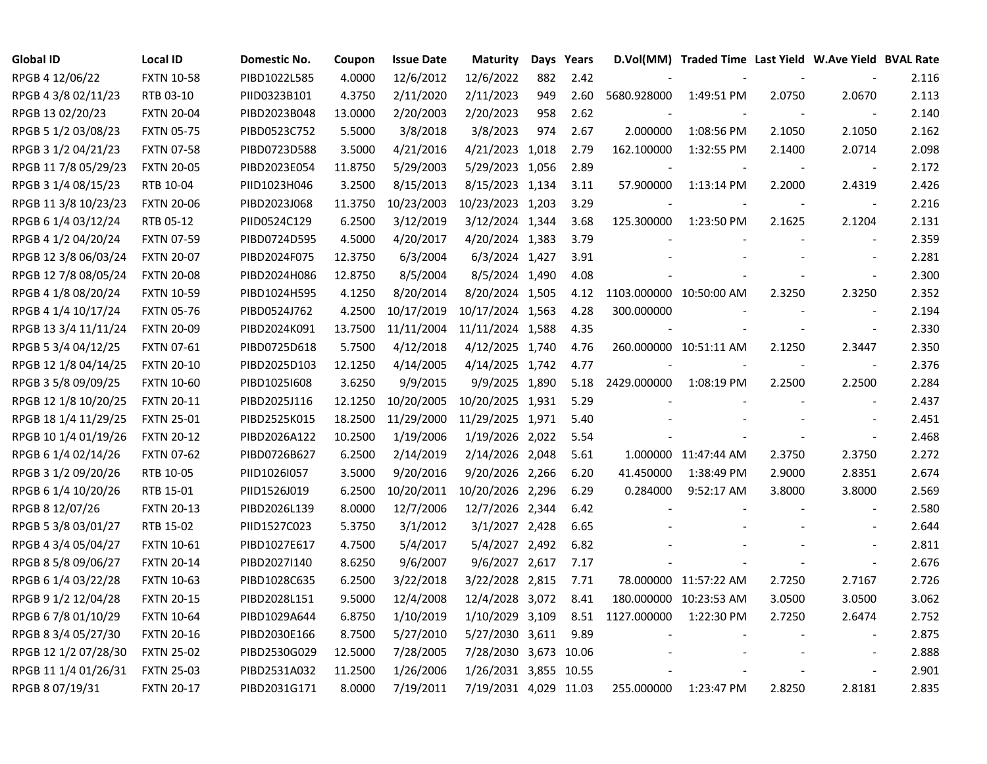| <b>Global ID</b>     | <b>Local ID</b>   | Domestic No. | Coupon  | <b>Issue Date</b> | <b>Maturity</b>       |     | Days Years |                         | D.Vol(MM) Traded Time Last Yield W.Ave Yield BVAL Rate |                          |                          |       |
|----------------------|-------------------|--------------|---------|-------------------|-----------------------|-----|------------|-------------------------|--------------------------------------------------------|--------------------------|--------------------------|-------|
| RPGB 4 12/06/22      | <b>FXTN 10-58</b> | PIBD1022L585 | 4.0000  | 12/6/2012         | 12/6/2022             | 882 | 2.42       |                         |                                                        |                          |                          | 2.116 |
| RPGB 4 3/8 02/11/23  | RTB 03-10         | PIID0323B101 | 4.3750  | 2/11/2020         | 2/11/2023             | 949 | 2.60       | 5680.928000             | 1:49:51 PM                                             | 2.0750                   | 2.0670                   | 2.113 |
| RPGB 13 02/20/23     | <b>FXTN 20-04</b> | PIBD2023B048 | 13.0000 | 2/20/2003         | 2/20/2023             | 958 | 2.62       |                         |                                                        |                          | $\sim$                   | 2.140 |
| RPGB 5 1/2 03/08/23  | <b>FXTN 05-75</b> | PIBD0523C752 | 5.5000  | 3/8/2018          | 3/8/2023              | 974 | 2.67       | 2.000000                | 1:08:56 PM                                             | 2.1050                   | 2.1050                   | 2.162 |
| RPGB 3 1/2 04/21/23  | <b>FXTN 07-58</b> | PIBD0723D588 | 3.5000  | 4/21/2016         | 4/21/2023 1,018       |     | 2.79       | 162.100000              | 1:32:55 PM                                             | 2.1400                   | 2.0714                   | 2.098 |
| RPGB 11 7/8 05/29/23 | <b>FXTN 20-05</b> | PIBD2023E054 | 11.8750 | 5/29/2003         | 5/29/2023 1,056       |     | 2.89       |                         |                                                        |                          | $\blacksquare$           | 2.172 |
| RPGB 3 1/4 08/15/23  | RTB 10-04         | PIID1023H046 | 3.2500  | 8/15/2013         | 8/15/2023 1,134       |     | 3.11       | 57.900000               | 1:13:14 PM                                             | 2.2000                   | 2.4319                   | 2.426 |
| RPGB 11 3/8 10/23/23 | <b>FXTN 20-06</b> | PIBD2023J068 | 11.3750 | 10/23/2003        | 10/23/2023 1,203      |     | 3.29       |                         |                                                        |                          | $\overline{\phantom{a}}$ | 2.216 |
| RPGB 6 1/4 03/12/24  | RTB 05-12         | PIID0524C129 | 6.2500  | 3/12/2019         | 3/12/2024 1,344       |     | 3.68       | 125.300000              | 1:23:50 PM                                             | 2.1625                   | 2.1204                   | 2.131 |
| RPGB 4 1/2 04/20/24  | <b>FXTN 07-59</b> | PIBD0724D595 | 4.5000  | 4/20/2017         | 4/20/2024 1,383       |     | 3.79       |                         |                                                        |                          | $\sim$                   | 2.359 |
| RPGB 12 3/8 06/03/24 | <b>FXTN 20-07</b> | PIBD2024F075 | 12.3750 | 6/3/2004          | 6/3/2024 1,427        |     | 3.91       |                         |                                                        |                          | $\sim$                   | 2.281 |
| RPGB 12 7/8 08/05/24 | <b>FXTN 20-08</b> | PIBD2024H086 | 12.8750 | 8/5/2004          | 8/5/2024 1,490        |     | 4.08       |                         |                                                        |                          | $\sim$                   | 2.300 |
| RPGB 4 1/8 08/20/24  | <b>FXTN 10-59</b> | PIBD1024H595 | 4.1250  | 8/20/2014         | 8/20/2024 1,505       |     | 4.12       | 1103.000000 10:50:00 AM |                                                        | 2.3250                   | 2.3250                   | 2.352 |
| RPGB 4 1/4 10/17/24  | <b>FXTN 05-76</b> | PIBD0524J762 | 4.2500  | 10/17/2019        | 10/17/2024 1,563      |     | 4.28       | 300.000000              |                                                        |                          | $\overline{\phantom{a}}$ | 2.194 |
| RPGB 13 3/4 11/11/24 | <b>FXTN 20-09</b> | PIBD2024K091 | 13.7500 | 11/11/2004        | 11/11/2024 1,588      |     | 4.35       |                         |                                                        |                          | $\overline{\phantom{a}}$ | 2.330 |
| RPGB 5 3/4 04/12/25  | <b>FXTN 07-61</b> | PIBD0725D618 | 5.7500  | 4/12/2018         | 4/12/2025 1,740       |     | 4.76       |                         | 260.000000 10:51:11 AM                                 | 2.1250                   | 2.3447                   | 2.350 |
| RPGB 12 1/8 04/14/25 | <b>FXTN 20-10</b> | PIBD2025D103 | 12.1250 | 4/14/2005         | 4/14/2025 1,742       |     | 4.77       |                         |                                                        |                          | $\overline{\phantom{a}}$ | 2.376 |
| RPGB 3 5/8 09/09/25  | <b>FXTN 10-60</b> | PIBD1025I608 | 3.6250  | 9/9/2015          | 9/9/2025 1,890        |     | 5.18       | 2429.000000             | 1:08:19 PM                                             | 2.2500                   | 2.2500                   | 2.284 |
| RPGB 12 1/8 10/20/25 | <b>FXTN 20-11</b> | PIBD2025J116 | 12.1250 | 10/20/2005        | 10/20/2025 1,931      |     | 5.29       |                         |                                                        | $\overline{\phantom{a}}$ | $\overline{\phantom{a}}$ | 2.437 |
| RPGB 18 1/4 11/29/25 | <b>FXTN 25-01</b> | PIBD2525K015 | 18.2500 | 11/29/2000        | 11/29/2025 1,971      |     | 5.40       |                         |                                                        |                          |                          | 2.451 |
| RPGB 10 1/4 01/19/26 | <b>FXTN 20-12</b> | PIBD2026A122 | 10.2500 | 1/19/2006         | 1/19/2026 2,022       |     | 5.54       |                         |                                                        |                          | $\overline{\phantom{a}}$ | 2.468 |
| RPGB 6 1/4 02/14/26  | <b>FXTN 07-62</b> | PIBD0726B627 | 6.2500  | 2/14/2019         | 2/14/2026 2,048       |     | 5.61       |                         | 1.000000 11:47:44 AM                                   | 2.3750                   | 2.3750                   | 2.272 |
| RPGB 3 1/2 09/20/26  | RTB 10-05         | PIID1026I057 | 3.5000  | 9/20/2016         | 9/20/2026 2,266       |     | 6.20       | 41.450000               | 1:38:49 PM                                             | 2.9000                   | 2.8351                   | 2.674 |
| RPGB 6 1/4 10/20/26  | RTB 15-01         | PIID1526J019 | 6.2500  | 10/20/2011        | 10/20/2026 2,296      |     | 6.29       | 0.284000                | 9:52:17 AM                                             | 3.8000                   | 3.8000                   | 2.569 |
| RPGB 8 12/07/26      | <b>FXTN 20-13</b> | PIBD2026L139 | 8.0000  | 12/7/2006         | 12/7/2026 2,344       |     | 6.42       |                         |                                                        |                          | $\sim$                   | 2.580 |
| RPGB 5 3/8 03/01/27  | RTB 15-02         | PIID1527C023 | 5.3750  | 3/1/2012          | 3/1/2027 2,428        |     | 6.65       |                         |                                                        |                          | $\overline{a}$           | 2.644 |
| RPGB 4 3/4 05/04/27  | <b>FXTN 10-61</b> | PIBD1027E617 | 4.7500  | 5/4/2017          | 5/4/2027 2,492        |     | 6.82       |                         |                                                        |                          | $\blacksquare$           | 2.811 |
| RPGB 8 5/8 09/06/27  | <b>FXTN 20-14</b> | PIBD2027I140 | 8.6250  | 9/6/2007          | 9/6/2027 2,617        |     | 7.17       |                         |                                                        |                          | $\sim$                   | 2.676 |
| RPGB 6 1/4 03/22/28  | <b>FXTN 10-63</b> | PIBD1028C635 | 6.2500  | 3/22/2018         | 3/22/2028 2,815       |     | 7.71       |                         | 78.000000 11:57:22 AM                                  | 2.7250                   | 2.7167                   | 2.726 |
| RPGB 9 1/2 12/04/28  | <b>FXTN 20-15</b> | PIBD2028L151 | 9.5000  | 12/4/2008         | 12/4/2028 3,072       |     | 8.41       |                         | 180.000000 10:23:53 AM                                 | 3.0500                   | 3.0500                   | 3.062 |
| RPGB 6 7/8 01/10/29  | <b>FXTN 10-64</b> | PIBD1029A644 | 6.8750  | 1/10/2019         | 1/10/2029 3,109       |     | 8.51       | 1127.000000             | 1:22:30 PM                                             | 2.7250                   | 2.6474                   | 2.752 |
| RPGB 8 3/4 05/27/30  | <b>FXTN 20-16</b> | PIBD2030E166 | 8.7500  | 5/27/2010         | 5/27/2030 3,611       |     | 9.89       |                         |                                                        |                          | $\blacksquare$           | 2.875 |
| RPGB 12 1/2 07/28/30 | <b>FXTN 25-02</b> | PIBD2530G029 | 12.5000 | 7/28/2005         | 7/28/2030 3,673 10.06 |     |            |                         |                                                        |                          | $\blacksquare$           | 2.888 |
| RPGB 11 1/4 01/26/31 | <b>FXTN 25-03</b> | PIBD2531A032 | 11.2500 | 1/26/2006         | 1/26/2031 3,855 10.55 |     |            |                         |                                                        |                          | $\sim$                   | 2.901 |
| RPGB 8 07/19/31      | <b>FXTN 20-17</b> | PIBD2031G171 | 8.0000  | 7/19/2011         | 7/19/2031 4,029 11.03 |     |            | 255.000000              | 1:23:47 PM                                             | 2.8250                   | 2.8181                   | 2.835 |